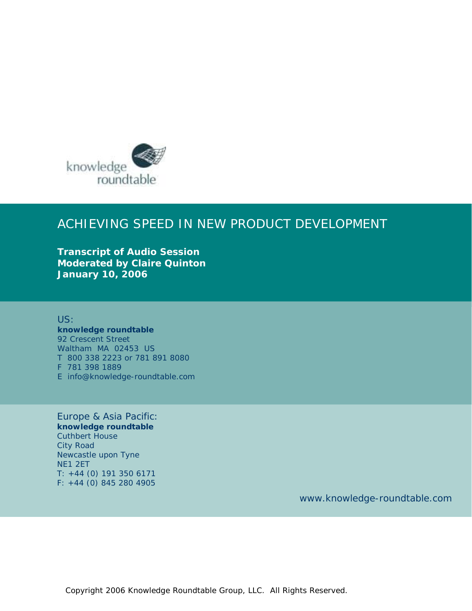

## ACHIEVING SPEED IN NEW PRODUCT DEVELOPMENT

**Transcript of Audio Session Moderated by Claire Quinton January 10, 2006**

US: **knowledge roundtable**  92 Crescent Street Waltham MA 02453 US T 800 338 2223 or 781 891 8080 F 781 398 1889 E info@knowledge-roundtable.com

Europe & Asia Pacific: **knowledge roundtable**  Cuthbert House City Road Newcastle upon Tyne NE1 2ET T: +44 (0) 191 350 6171 F: +44 (0) 845 280 4905

www.knowledge-roundtable.com

Copyright 2006 Knowledge Roundtable Group, LLC. All Rights Reserved.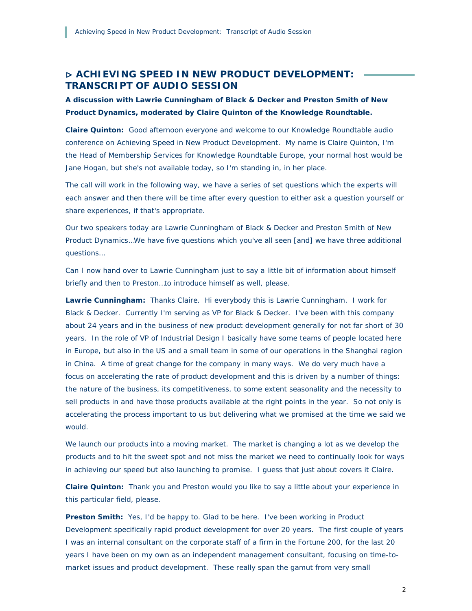## ▷ **ACHIEVING SPEED IN NEW PRODUCT DEVELOPMENT: TRANSCRIPT OF AUDIO SESSION**

*A discussion with Lawrie Cunningham of Black & Decker and Preston Smith of New Product Dynamics, moderated by Claire Quinton of the Knowledge Roundtable.* 

**Claire Quinton:** Good afternoon everyone and welcome to our Knowledge Roundtable audio conference on Achieving Speed in New Product Development. My name is Claire Quinton, I'm the Head of Membership Services for Knowledge Roundtable Europe, your normal host would be Jane Hogan, but she's not available today, so I'm standing in, in her place.

The call will work in the following way, we have a series of set questions which the experts will each answer and then there will be time after every question to either ask a question yourself or share experiences, if that's appropriate.

Our two speakers today are Lawrie Cunningham of Black & Decker and Preston Smith of New Product Dynamics…We have five questions which you've all seen [and] we have three additional questions…

Can I now hand over to Lawrie Cunningham just to say a little bit of information about himself briefly and then to Preston…to introduce himself as well, please.

**Lawrie Cunningham:** Thanks Claire. Hi everybody this is Lawrie Cunningham. I work for Black & Decker. Currently I'm serving as VP for Black & Decker. I've been with this company about 24 years and in the business of new product development generally for not far short of 30 years. In the role of VP of Industrial Design I basically have some teams of people located here in Europe, but also in the US and a small team in some of our operations in the Shanghai region in China. A time of great change for the company in many ways. We do very much have a focus on accelerating the rate of product development and this is driven by a number of things: the nature of the business, its competitiveness, to some extent seasonality and the necessity to sell products in and have those products available at the right points in the year. So not only is accelerating the process important to us but delivering what we promised at the time we said we would.

We launch our products into a moving market. The market is changing a lot as we develop the products and to hit the sweet spot and not miss the market we need to continually look for ways in achieving our speed but also launching to promise. I guess that just about covers it Claire.

**Claire Quinton:** Thank you and Preston would you like to say a little about your experience in this particular field, please.

**Preston Smith:** Yes, I'd be happy to. Glad to be here. I've been working in Product Development specifically rapid product development for over 20 years. The first couple of years I was an internal consultant on the corporate staff of a firm in the Fortune 200, for the last 20 years I have been on my own as an independent management consultant, focusing on time-tomarket issues and product development. These really span the gamut from very small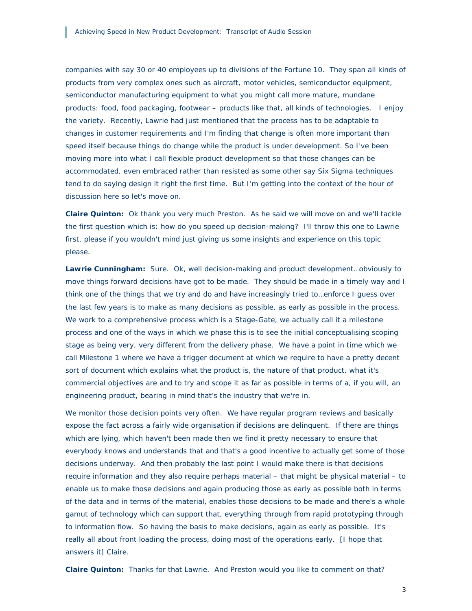companies with say 30 or 40 employees up to divisions of the Fortune 10. They span all kinds of products from very complex ones such as aircraft, motor vehicles, semiconductor equipment, semiconductor manufacturing equipment to what you might call more mature, mundane products: food, food packaging, footwear – products like that, all kinds of technologies. I enjoy the variety. Recently, Lawrie had just mentioned that the process has to be adaptable to changes in customer requirements and I'm finding that change is often more important than speed itself because things do change while the product is under development. So I've been moving more into what I call flexible product development so that those changes can be accommodated, even embraced rather than resisted as some other say Six Sigma techniques tend to do saying design it right the first time. But I'm getting into the context of the hour of discussion here so let's move on.

**Claire Quinton:** Ok thank you very much Preston. As he said we will move on and we'll tackle the first question which is: how do you speed up decision-making? I'll throw this one to Lawrie first, please if you wouldn't mind just giving us some insights and experience on this topic please.

**Lawrie Cunningham:** Sure. Ok, well decision-making and product development…obviously to move things forward decisions have got to be made. They should be made in a timely way and I think one of the things that we try and do and have increasingly tried to…enforce I guess over the last few years is to make as many decisions as possible, as early as possible in the process. We work to a comprehensive process which is a Stage-Gate, we actually call it a milestone process and one of the ways in which we phase this is to see the initial conceptualising scoping stage as being very, very different from the delivery phase. We have a point in time which we call Milestone 1 where we have a trigger document at which we require to have a pretty decent sort of document which explains what the product is, the nature of that product, what it's commercial objectives are and to try and scope it as far as possible in terms of a, if you will, an engineering product, bearing in mind that's the industry that we're in.

We monitor those decision points very often. We have regular program reviews and basically expose the fact across a fairly wide organisation if decisions are delinquent. If there are things which are lying, which haven't been made then we find it pretty necessary to ensure that everybody knows and understands that and that's a good incentive to actually get some of those decisions underway. And then probably the last point I would make there is that decisions require information and they also require perhaps material – that might be physical material – to enable us to make those decisions and again producing those as early as possible both in terms of the data and in terms of the material, enables those decisions to be made and there's a whole gamut of technology which can support that, everything through from rapid prototyping through to information flow. So having the basis to make decisions, again as early as possible. It's really all about front loading the process, doing most of the operations early. [I hope that answers it] Claire.

**Claire Quinton:** Thanks for that Lawrie. And Preston would you like to comment on that?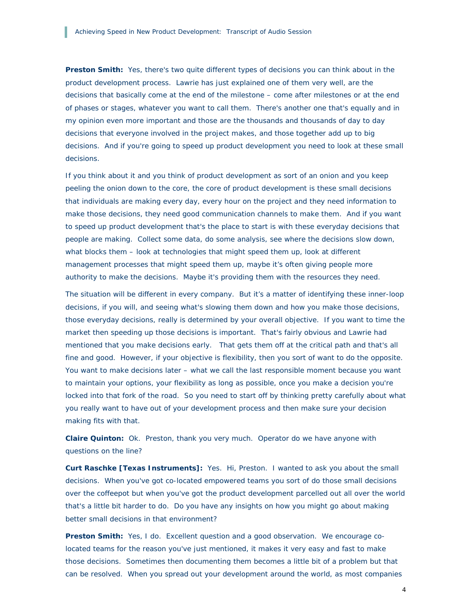**Preston Smith:** Yes, there's two quite different types of decisions you can think about in the product development process. Lawrie has just explained one of them very well, are the decisions that basically come at the end of the milestone – come after milestones or at the end of phases or stages, whatever you want to call them. There's another one that's equally and in my opinion even more important and those are the thousands and thousands of day to day decisions that everyone involved in the project makes, and those together add up to big decisions. And if you're going to speed up product development you need to look at these small decisions.

If you think about it and you think of product development as sort of an onion and you keep peeling the onion down to the core, the core of product development is these small decisions that individuals are making every day, every hour on the project and they need information to make those decisions, they need good communication channels to make them. And if you want to speed up product development that's the place to start is with these everyday decisions that people are making. Collect some data, do some analysis, see where the decisions slow down, what blocks them – look at technologies that might speed them up, look at different management processes that might speed them up, maybe it's often giving people more authority to make the decisions. Maybe it's providing them with the resources they need.

The situation will be different in every company. But it's a matter of identifying these inner-loop decisions, if you will, and seeing what's slowing them down and how you make those decisions, those everyday decisions, really is determined by your overall objective. If you want to time the market then speeding up those decisions is important. That's fairly obvious and Lawrie had mentioned that you make decisions early. That gets them off at the critical path and that's all fine and good. However, if your objective is flexibility, then you sort of want to do the opposite. You want to make decisions later – what we call the last responsible moment because you want to maintain your options, your flexibility as long as possible, once you make a decision you're locked into that fork of the road. So you need to start off by thinking pretty carefully about what you really want to have out of your development process and then make sure your decision making fits with that.

**Claire Quinton:** Ok. Preston, thank you very much. Operator do we have anyone with questions on the line?

**Curt Raschke [Texas Instruments]:** Yes. Hi, Preston. I wanted to ask you about the small decisions. When you've got co-located empowered teams you sort of do those small decisions over the coffeepot but when you've got the product development parcelled out all over the world that's a little bit harder to do. Do you have any insights on how you might go about making better small decisions in that environment?

**Preston Smith:** Yes, I do. Excellent question and a good observation. We encourage colocated teams for the reason you've just mentioned, it makes it very easy and fast to make those decisions. Sometimes then documenting them becomes a little bit of a problem but that can be resolved. When you spread out your development around the world, as most companies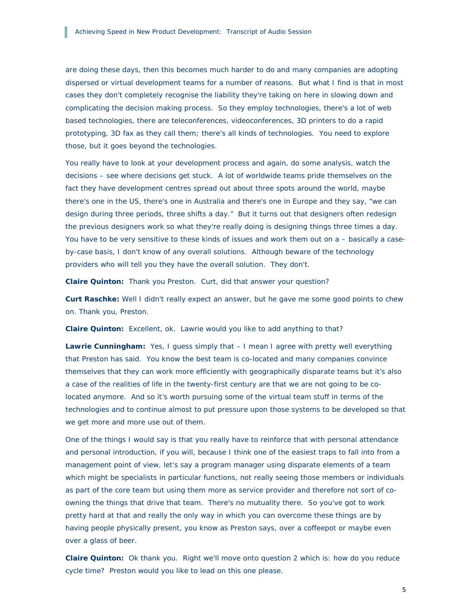are doing these days, then this becomes much harder to do and many companies are adopting dispersed or virtual development teams for a number of reasons. But what I find is that in most cases they don't completely recognise the liability they're taking on here in slowing down and complicating the decision making process. So they employ technologies, there's a lot of web based technologies, there are teleconferences, videoconferences, 3D printers to do a rapid prototyping, 3D fax as they call them; there's all kinds of technologies. You need to explore those, but it goes beyond the technologies.

You really have to look at your development process and again, do some analysis, watch the decisions – see where decisions get stuck. A lot of worldwide teams pride themselves on the fact they have development centres spread out about three spots around the world, maybe there's one in the US, there's one in Australia and there's one in Europe and they say, *"we can design during three periods, three shifts a day."* But it turns out that designers often redesign the previous designers work so what they're really doing is designing things three times a day. You have to be very sensitive to these kinds of issues and work them out on a – basically a caseby-case basis, I don't know of any overall solutions. Although beware of the technology providers who will tell you they have the overall solution. They don't.

**Claire Quinton:** Thank you Preston. Curt, did that answer your question?

**Curt Raschke:** Well I didn't really expect an answer, but he gave me some good points to chew on. Thank you, Preston.

**Claire Quinton:** Excellent, ok. Lawrie would you like to add anything to that?

**Lawrie Cunningham:** Yes, I guess simply that – I mean I agree with pretty well everything that Preston has said. You know the best team is co-located and many companies convince themselves that they can work more efficiently with geographically disparate teams but it's also a case of the realities of life in the twenty-first century are that we are not going to be colocated anymore. And so it's worth pursuing some of the virtual team stuff in terms of the technologies and to continue almost to put pressure upon those systems to be developed so that we get more and more use out of them.

One of the things I would say is that you really have to reinforce that with personal attendance and personal introduction, if you will, because I think one of the easiest traps to fall into from a management point of view, let's say a program manager using disparate elements of a team which might be specialists in particular functions, not really seeing those members or individuals as part of the core team but using them more as service provider and therefore not sort of coowning the things that drive that team. There's no mutuality there. So you've got to work pretty hard at that and really the only way in which you can overcome these things are by having people physically present, you know as Preston says, over a coffeepot or maybe even over a glass of beer.

**Claire Quinton:** Ok thank you. Right we'll move onto question 2 which is: how do you reduce cycle time? Preston would you like to lead on this one please.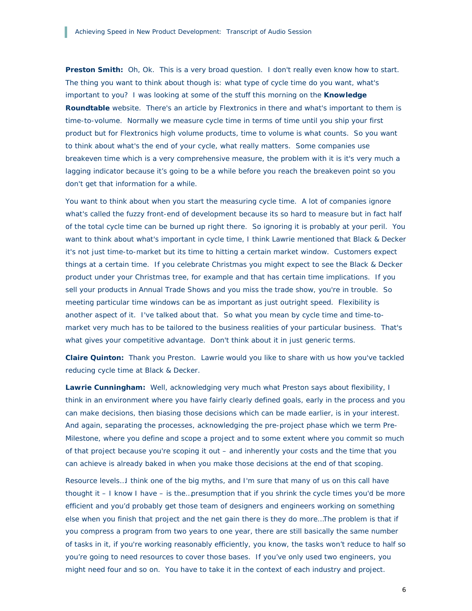**Preston Smith:** Oh, Ok. This is a very broad question. I don't really even know how to start. The thing you want to think about though is: what type of cycle time do you want, what's important to you? I was looking at some of the stuff this morning on the **Knowledge Roundtable** website. There's an article by Flextronics in there and what's important to them is time-to-volume. Normally we measure cycle time in terms of time until you ship your first product but for Flextronics high volume products, time to volume is what counts. So you want to think about what's the end of your cycle, what really matters. Some companies use breakeven time which is a very comprehensive measure, the problem with it is it's very much a lagging indicator because it's going to be a while before you reach the breakeven point so you don't get that information for a while.

You want to think about *when* you start the measuring cycle time. A lot of companies ignore what's called the fuzzy front-end of development because its so hard to measure but in fact half of the total cycle time can be burned up right there. So ignoring it is probably at your peril. You want to think about what's important in cycle time, I think Lawrie mentioned that Black & Decker it's not just time-to-market but its time to hitting a certain market window. Customers expect things at a certain time. If you celebrate Christmas you might expect to see the Black & Decker product under your Christmas tree, for example and that has certain time implications. If you sell your products in Annual Trade Shows and you miss the trade show, you're in trouble. So meeting particular time windows can be as important as just outright speed. Flexibility is another aspect of it. I've talked about that. So what you mean by cycle time and time-tomarket very much has to be tailored to the business realities of your particular business. That's what gives your competitive advantage. Don't think about it in just generic terms.

**Claire Quinton:** Thank you Preston. Lawrie would you like to share with us how you've tackled reducing cycle time at Black & Decker.

**Lawrie Cunningham:** Well, acknowledging very much what Preston says about flexibility, I think in an environment where you have fairly clearly defined goals, early in the process and you can make decisions, then biasing those decisions which can be made earlier, is in your interest. And again, separating the processes, acknowledging the pre-project phase which we term Pre-Milestone, where you define and scope a project and to some extent where you commit so much of that project because you're scoping it out – and inherently your costs and the time that you can achieve is already baked in when you make those decisions at the end of that scoping.

Resource levels…I think one of the big myths, and I'm sure that many of us on this call have thought it – I know I have – is the…presumption that if you shrink the cycle times you'd be more efficient and you'd probably get those team of designers and engineers working on something else when you finish that project and the net gain there is *they do more*…The problem is that if you compress a program from two years to one year, there are still basically the same number of tasks in it, if you're working reasonably efficiently, you know, the tasks won't reduce to half so you're going to need resources to cover those bases. If you've only used two engineers, you might need four and so on. You have to take it in the context of each industry and project.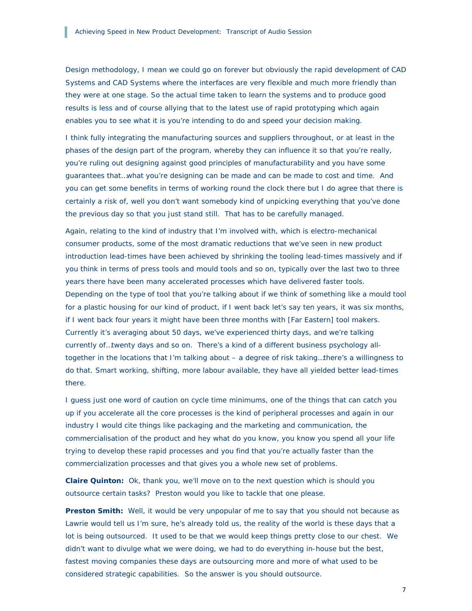Design methodology, I mean we could go on forever but obviously the rapid development of CAD Systems and CAD Systems where the interfaces are very flexible and much more friendly than they were at one stage. So the actual time taken to learn the systems and to produce good results is less and of course allying that to the latest use of rapid prototyping which again enables you to see what it is you're intending to do and speed your decision making.

I think fully integrating the manufacturing sources and suppliers throughout, or at least in the phases of the design part of the program, whereby they can influence it so that you're really, you're ruling out designing against good principles of manufacturability and you have some guarantees that…what you're designing can be made and can be made to cost and time. And you can get some benefits in terms of working round the clock there but I do agree that there is certainly a risk of, well you don't want somebody kind of unpicking everything that you've done the previous day so that you just stand still. That has to be carefully managed.

Again, relating to the kind of industry that I'm involved with, which is electro-mechanical consumer products, some of the most dramatic reductions that we've seen in new product introduction lead-times have been achieved by shrinking the tooling lead-times massively and if you think in terms of press tools and mould tools and so on, typically over the last two to three years there have been many accelerated processes which have delivered faster tools. Depending on the type of tool that you're talking about if we think of something like a mould tool for a plastic housing for our kind of product, if I went back let's say ten years, it was six months, if I went back four years it might have been three months with [Far Eastern] tool makers. Currently it's averaging about 50 days, we've experienced thirty days, and we're talking currently of…twenty days and so on. There's a kind of a different business psychology alltogether in the locations that I'm talking about – a degree of risk taking…there's a willingness to do that. Smart working, shifting, more labour available, they have all yielded better lead-times there.

I guess just one word of caution on cycle time minimums, one of the things that can catch you up if you accelerate all the core processes is the kind of peripheral processes and again in our industry I would cite things like packaging and the marketing and communication, the commercialisation of the product and hey what do you know, you know you spend all your life trying to develop these rapid processes and you find that you're actually faster than the commercialization processes and that gives you a whole new set of problems.

**Claire Quinton:** Ok, thank you, we'll move on to the next question which is *should you outsource certain tasks*? Preston would you like to tackle that one please.

**Preston Smith:** Well, it would be very unpopular of me to say that you should not because as Lawrie would tell us I'm sure, he's already told us, the reality of the world is these days that a lot is being outsourced. It used to be that we would keep things pretty close to our chest. We didn't want to divulge what we were doing, we had to do everything in-house but the best, fastest moving companies these days are outsourcing more and more of what used to be considered strategic capabilities. So the answer is you should outsource.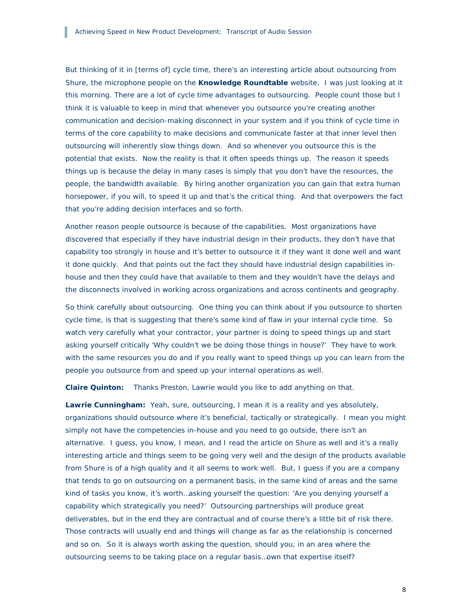But thinking of it in [terms of] cycle time, there's an interesting article about outsourcing from Shure, the microphone people on the **Knowledge Roundtable** website. I was just looking at it this morning. There are a lot of cycle time advantages to outsourcing. People count those but I think it is valuable to keep in mind that whenever you outsource you're creating another communication and decision-making disconnect in your system and if you think of cycle time in terms of the core capability to make decisions and communicate faster at that inner level then outsourcing will inherently slow things down. And so whenever you outsource this is the potential that exists. Now the reality is that it often speeds things up. The reason it speeds things up is because the delay in many cases is simply that you don't have the resources, the people, the bandwidth available. By hiring another organization you can gain that extra human horsepower, if you will, to speed it up and that's the critical thing. And that overpowers the fact that you're adding decision interfaces and so forth.

Another reason people outsource is because of the capabilities. Most organizations have discovered that especially if they have industrial design in their products, they don't have that capability too strongly in house and it's better to outsource it if they want it done well and want it done quickly. And that points out the fact they should have industrial design capabilities inhouse and then they could have that available to them and they wouldn't have the delays and the disconnects involved in working across organizations and across continents and geography.

So think carefully about outsourcing. One thing you can think about if you outsource to shorten cycle time, is that is suggesting that there's some kind of flaw in your internal cycle time. So watch very carefully what your contractor, your partner is doing to speed things up and start asking yourself critically 'Why couldn't we be doing those things in house?' They have to work with the same resources you do and if you really want to speed things up you can learn from the people you outsource from and speed up your internal operations as well.

**Claire Quinton:** Thanks Preston, Lawrie would you like to add anything on that.

**Lawrie Cunningham:** Yeah, sure, outsourcing, I mean it is a reality and yes absolutely, organizations should outsource where it's beneficial, tactically or strategically. I mean you might simply not have the competencies in-house and you need to go outside, there isn't an alternative. I guess, you know, I mean, and I read the article on Shure as well and it's a really interesting article and things seem to be going very well and the design of the products available from Shure is of a high quality and it all seems to work well. But, I guess if you are a company that tends to go on outsourcing on a permanent basis, in the same kind of areas and the same kind of tasks you know, it's worth…asking yourself the question: 'Are you denying yourself a capability which strategically you need?' Outsourcing partnerships will produce great deliverables, but in the end they are contractual and of course there's a little bit of risk there. Those contracts will usually end and things will change as far as the relationship is concerned and so on. So it is always worth asking the question, should you, in an area where the outsourcing seems to be taking place on a regular basis…own that expertise itself?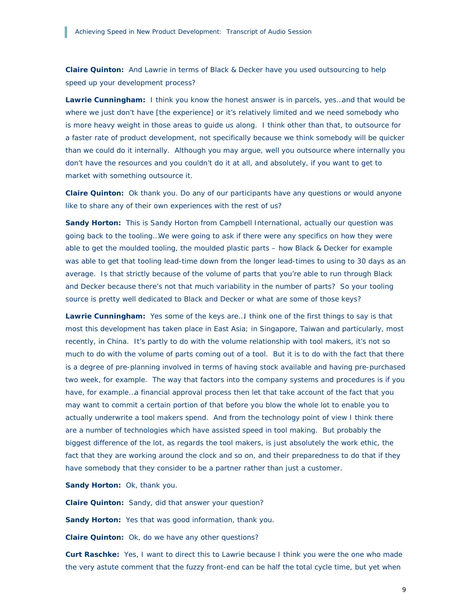**Claire Quinton:** And Lawrie in terms of Black & Decker have you used outsourcing to help speed up your development process?

**Lawrie Cunningham:** I think you know the honest answer is in parcels, yes…and that would be where we just don't have [the experience] or it's relatively limited and we need somebody who is more heavy weight in those areas to guide us along. I think other than that, to outsource for a faster rate of product development, not specifically because we think somebody will be quicker than we could do it internally. Although you may argue, well you outsource where internally you don't have the resources and you couldn't do it at all, and absolutely, if you want to get to market with something outsource it.

**Claire Quinton:** Ok thank you. Do any of our participants have any questions or would anyone like to share any of their own experiences with the rest of us?

**Sandy Horton:** This is Sandy Horton from Campbell International, actually our question was going back to the tooling…We were going to ask if there were any specifics on how they were able to get the moulded tooling, the moulded plastic parts – how Black & Decker for example was able to get that tooling lead-time down from the longer lead-times to using to 30 days as an average. Is that strictly because of the volume of parts that you're able to run through Black and Decker because there's not that much variability in the number of parts? So your tooling source is pretty well dedicated to Black and Decker or what are some of those keys?

**Lawrie Cunningham:** Yes some of the keys are…I think one of the first things to say is that most this development has taken place in East Asia; in Singapore, Taiwan and particularly, most recently, in China. It's partly to do with the volume relationship with tool makers, it's not so much to do with the volume of parts coming out of a tool. But it is to do with the fact that there is a degree of pre-planning involved in terms of having stock available and having pre-purchased two week, for example. The way that factors into the company systems and procedures is if you have, for example…a financial approval process then let that take account of the fact that you may want to commit a certain portion of that before you blow the whole lot to enable you to actually underwrite a tool makers spend. And from the technology point of view I think there are a number of technologies which have assisted speed in tool making. But probably the biggest difference of the lot, as regards the tool makers, is just absolutely the work ethic, the fact that they are working around the clock and so on, and their preparedness to do that if they have somebody that they consider to be a partner rather than just a customer.

**Sandy Horton:** Ok, thank you.

**Claire Quinton:** Sandy, did that answer your question?

**Sandy Horton:** Yes that was good information, thank you.

**Claire Quinton:** Ok, do we have any other questions?

**Curt Raschke:** Yes, I want to direct this to Lawrie because I think you were the one who made the very astute comment that the fuzzy front-end can be half the total cycle time, but yet when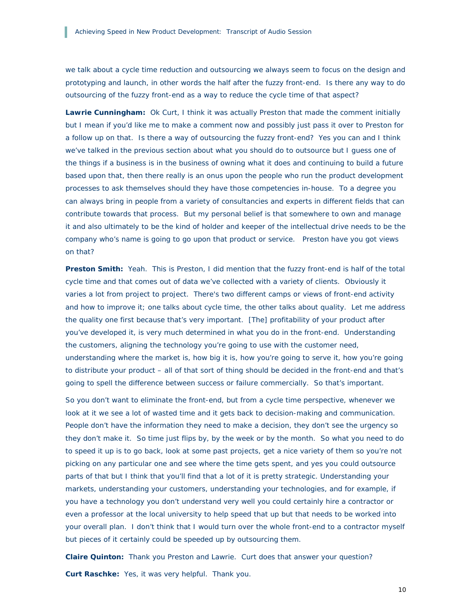we talk about a cycle time reduction and outsourcing we always seem to focus on the design and prototyping and launch, in other words the half after the fuzzy front-end. Is there any way to do outsourcing of the fuzzy front-end as a way to reduce the cycle time of that aspect?

**Lawrie Cunningham:** Ok Curt, I think it was actually Preston that made the comment initially but I mean if you'd like me to make a comment now and possibly just pass it over to Preston for a follow up on that. Is there a way of outsourcing the fuzzy front-end? Yes you can and I think we've talked in the previous section about what you should do to outsource but I guess one of the things if a business is in the business of owning what it does and continuing to build a future based upon that, then there really is an onus upon the people who run the product development processes to ask themselves should they have those competencies in-house. To a degree you can always bring in people from a variety of consultancies and experts in different fields that can contribute towards that process. But my personal belief is that somewhere to own and manage it and also ultimately to be the kind of holder and keeper of the intellectual drive needs to be the company who's name is going to go upon that product or service. Preston have you got views on that?

**Preston Smith:** Yeah. This is Preston, I did mention that the fuzzy front-end is half of the total cycle time and that comes out of data we've collected with a variety of clients. Obviously it varies a lot from project to project. There's two different camps or views of front-end activity and how to improve it; one talks about cycle time, the other talks about quality. Let me address the quality one first because that's very important. [The] profitability of your product after you've developed it, is very much determined in what you do in the front-end. Understanding the customers, aligning the technology you're going to use with the customer need, understanding where the market is, how big it is, how you're going to serve it, how you're going to distribute your product – all of that sort of thing should be decided in the front-end and that's going to spell the difference between success or failure commercially. So that's important.

So you don't want to eliminate the front-end, but from a cycle time perspective, whenever we look at it we see a lot of wasted time and it gets back to decision-making and communication. People don't have the information they need to make a decision, they don't see the urgency so they don't make it. So time just flips by, by the week or by the month. So what you need to do to speed it up is to go back, look at some past projects, get a nice variety of them so you're not picking on any particular one and see where the time gets spent, and yes you could outsource parts of that but I think that you'll find that a lot of it is pretty strategic. Understanding your markets, understanding your customers, understanding your technologies, and for example, if you have a technology you don't understand very well you could certainly hire a contractor or even a professor at the local university to help speed that up but that needs to be worked into your overall plan. I don't think that I would turn over the whole front-end to a contractor myself but pieces of it certainly could be speeded up by outsourcing them.

**Claire Quinton:** Thank you Preston and Lawrie. Curt does that answer your question? **Curt Raschke:** Yes, it was very helpful. Thank you.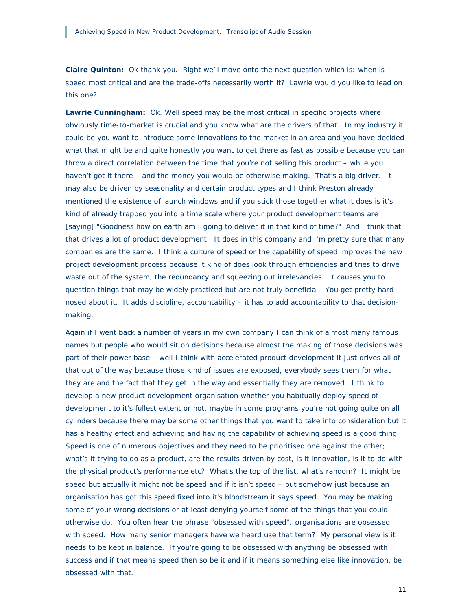**Claire Quinton:** Ok thank you. Right we'll move onto the next question which is: when is speed most critical and are the trade-offs necessarily worth it? Lawrie would you like to lead on this one?

**Lawrie Cunningham:** Ok. Well speed may be the most critical in specific projects where obviously time-to-market is crucial and you know what are the drivers of that. In my industry it could be you want to introduce some innovations to the market in an area and you have decided what that might be and quite honestly you want to get there as fast as possible because you can throw a direct correlation between the time that you're not selling this product – while you haven't got it there – and the money you would be otherwise making. That's a big driver. It may also be driven by seasonality and certain product types and I think Preston already mentioned the existence of launch windows and if you stick those together what it does is it's kind of already trapped you into a time scale where your product development teams are [saying] *"Goodness how on earth am I going to deliver it in that kind of time?"* And I think that that drives a lot of product development. It does in this company and I'm pretty sure that many companies are the same. I think a culture of speed or the capability of speed improves the new project development process because it kind of does look through efficiencies and tries to drive waste out of the system, the redundancy and squeezing out irrelevancies. It causes you to question things that may be widely practiced but are not truly beneficial. You get pretty hard nosed about it. It adds discipline, accountability – it has to add accountability to that decisionmaking.

Again if I went back a number of years in my own company I can think of almost many famous names but people who would sit on decisions because almost the making of those decisions was part of their power base – well I think with accelerated product development it just drives all of that out of the way because those kind of issues are exposed, everybody sees them for what they are and the fact that they get in the way and essentially they are removed. I think to develop a new product development organisation whether you habitually deploy speed of development to it's fullest extent or not, maybe in some programs you're not going quite on all cylinders because there may be some other things that you want to take into consideration but it has a healthy effect and achieving and having the capability of achieving speed is a good thing. Speed is one of numerous objectives and they need to be prioritised one against the other; what's it trying to do as a product, are the results driven by cost, is it innovation, is it to do with the physical product's performance etc? What's the top of the list, what's random? It might be speed but actually it might not be speed and if it isn't speed – but somehow just because an organisation has got this speed fixed into it's bloodstream it says speed. You may be making some of your wrong decisions or at least denying yourself some of the things that you could otherwise do. You often hear the phrase "obsessed with speed"…organisations are obsessed with speed. How many senior managers have we heard use that term? My personal view is it needs to be kept in balance. If you're going to be obsessed with anything be obsessed with success and if that means speed then so be it and if it means something else like innovation, be obsessed with that.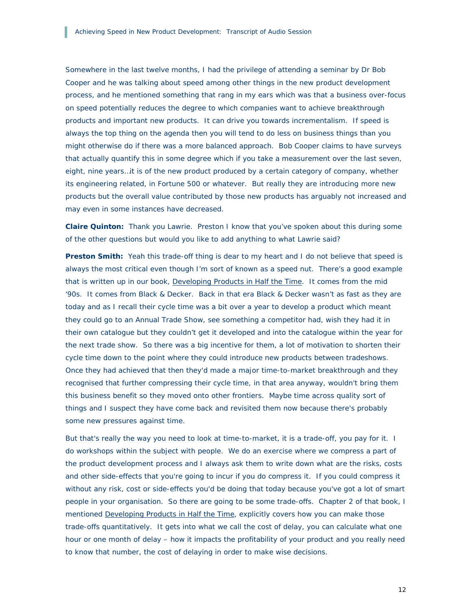Somewhere in the last twelve months, I had the privilege of attending a seminar by Dr Bob Cooper and he was talking about speed among other things in the new product development process, and he mentioned something that rang in my ears which was that a business over-focus on speed potentially reduces the degree to which companies want to achieve breakthrough products and important new products. It can drive you towards incrementalism. If speed is always the top thing on the agenda then you will tend to do less on business things than you might otherwise do if there was a more balanced approach. Bob Cooper claims to have surveys that actually quantify this in some degree which if you take a measurement over the last seven, eight, nine years…it is of the new product produced by a certain category of company, whether its engineering related, in Fortune 500 or whatever. But really they are introducing more new products but the overall value contributed by those new products has arguably not increased and may even in some instances have decreased.

**Claire Quinton:** Thank you Lawrie. Preston I know that you've spoken about this during some of the other questions but would you like to add anything to what Lawrie said?

**Preston Smith:** Yeah this trade-off thing is dear to my heart and I do not believe that speed is always the most critical even though I'm sort of known as a speed nut. There's a good example that is written up in our book, Developing Products in Half the Time. It comes from the mid '90s. It comes from Black & Decker. Back in that era Black & Decker wasn't as fast as they are today and as I recall their cycle time was a bit over a year to develop a product which meant they could go to an Annual Trade Show, see something a competitor had, wish they had it in their own catalogue but they couldn't get it developed and into the catalogue within the year for the next trade show. So there was a big incentive for them, a lot of motivation to shorten their cycle time down to the point where they could introduce new products between tradeshows. Once they had achieved that then they'd made a major time-to-market breakthrough and they recognised that further compressing their cycle time, in that area anyway, wouldn't bring them this business benefit so they moved onto other frontiers. Maybe time across quality sort of things and I suspect they have come back and revisited them now because there's probably some new pressures against time.

But that's really the way you need to look at time-to-market, it is a trade-off, you pay for it. I do workshops within the subject with people. We do an exercise where we compress a part of the product development process and I always ask them to write down what are the risks, costs and other side-effects that you're going to incur if you do compress it. If you could compress it without any risk, cost or side-effects you'd be doing that today because you've got a lot of smart people in your organisation. So there are going to be some trade-offs. Chapter 2 of that book, I mentioned Developing Products in Half the Time, explicitly covers how you can make those trade-offs quantitatively. It gets into what we call the cost of delay, you can calculate what one hour or one month of delay – how it impacts the profitability of your product and you really need to know that number, the cost of delaying in order to make wise decisions.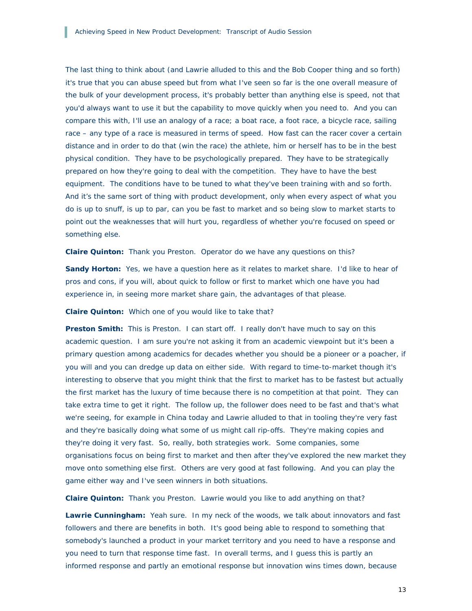The last thing to think about (and Lawrie alluded to this and the Bob Cooper thing and so forth) it's true that you can abuse speed but from what I've seen so far is the one overall measure of the bulk of your development process, it's probably better than anything else is speed, not that you'd always want to use it but the capability to move quickly when you need to. And you can compare this with, I'll use an analogy of a race; a boat race, a foot race, a bicycle race, sailing race – any type of a race is measured in terms of speed. How fast can the racer cover a certain distance and in order to do that (win the race) the athlete, him or herself has to be in the best physical condition. They have to be psychologically prepared. They have to be strategically prepared on how they're going to deal with the competition. They have to have the best equipment. The conditions have to be tuned to what they've been training with and so forth. And it's the same sort of thing with product development, only when every aspect of what you do is up to snuff, is up to par, can you be fast to market and so being slow to market starts to point out the weaknesses that will hurt you, regardless of whether you're focused on speed or something else.

**Claire Quinton:** Thank you Preston. Operator do we have any questions on this?

**Sandy Horton:** Yes, we have a question here as it relates to market share. I'd like to hear of pros and cons, if you will, about quick to follow or first to market which one have you had experience in, in seeing more market share gain, the advantages of that please.

**Claire Quinton:** Which one of you would like to take that?

**Preston Smith:** This is Preston. I can start off. I really don't have much to say on this academic question. I am sure you're not asking it from an academic viewpoint but it's been a primary question among academics for decades whether you should be a pioneer or a poacher, if you will and you can dredge up data on either side. With regard to time-to-market though it's interesting to observe that you might think that the first to market has to be fastest but actually the first market has the luxury of time because there is no competition at that point. They can take extra time to get it right. The follow up, the follower does need to be fast and that's what we're seeing, for example in China today and Lawrie alluded to that in tooling they're very fast and they're basically doing what some of us might call rip-offs. They're making copies and they're doing it very fast. So, really, both strategies work. Some companies, some organisations focus on being first to market and then after they've explored the new market they move onto something else first. Others are very good at fast following. And you can play the game either way and I've seen winners in both situations.

**Claire Quinton:** Thank you Preston. Lawrie would you like to add anything on that?

Lawrie Cunningham: Yeah sure. In my neck of the woods, we talk about innovators and fast followers and there are benefits in both. It's good being able to respond to something that somebody's launched a product in your market territory and you need to have a response and you need to turn that response time fast. In overall terms, and I guess this is partly an informed response and partly an emotional response but innovation wins times down, because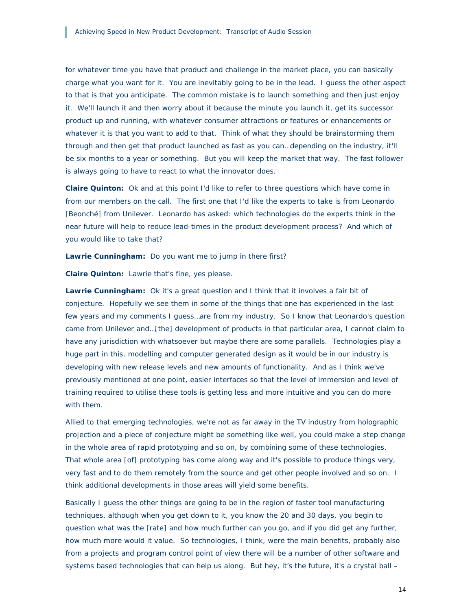for whatever time you have that product and challenge in the market place, you can basically charge what you want for it. You are inevitably going to be in the lead. I guess the other aspect to that is that you anticipate. The common mistake is to launch something and then just enjoy it. We'll launch it and then worry about it because the minute you launch it, get its successor product up and running, with whatever consumer attractions or features or enhancements or whatever it is that you want to add to that. Think of what they should be brainstorming them through and then get that product launched as fast as you can…depending on the industry, it'll be six months to a year or something. But you will keep the market that way. The fast follower is always going to have to react to what the innovator does.

**Claire Quinton:** Ok and at this point I'd like to refer to three questions which have come in from our members on the call. The first one that I'd like the experts to take is from Leonardo [Beonché] from Unilever. Leonardo has asked: which technologies do the experts think in the near future will help to reduce lead-times in the product development process? And which of you would like to take that?

**Lawrie Cunningham:** Do you want me to jump in there first?

**Claire Quinton:** Lawrie that's fine, yes please.

**Lawrie Cunningham:** Ok it's a great question and I think that it involves a fair bit of conjecture. Hopefully we see them in some of the things that one has experienced in the last few years and my comments I guess…are from my industry. So I know that Leonardo's question came from Unilever and…[the] development of products in that particular area, I cannot claim to have any jurisdiction with whatsoever but maybe there are some parallels. Technologies play a huge part in this, modelling and computer generated design as it would be in our industry is developing with new release levels and new amounts of functionality. And as I think we've previously mentioned at one point, easier interfaces so that the level of immersion and level of training required to utilise these tools is getting less and more intuitive and you can do more with them.

Allied to that emerging technologies, we're not as far away in the TV industry from holographic projection and a piece of conjecture might be something like well, you could make a step change in the whole area of rapid prototyping and so on, by combining some of these technologies. That whole area [of] prototyping has come along way and it's possible to produce things very, very fast and to do them remotely from the source and get other people involved and so on. I think additional developments in those areas will yield some benefits.

Basically I guess the other things are going to be in the region of faster tool manufacturing techniques, although when you get down to it, you know the 20 and 30 days, you begin to question what was the [rate] and how much further can you go, and if you did get any further, how much more would it value. So technologies, I think, were the main benefits, probably also from a projects and program control point of view there will be a number of other software and systems based technologies that can help us along. But hey, it's the future, it's a crystal ball –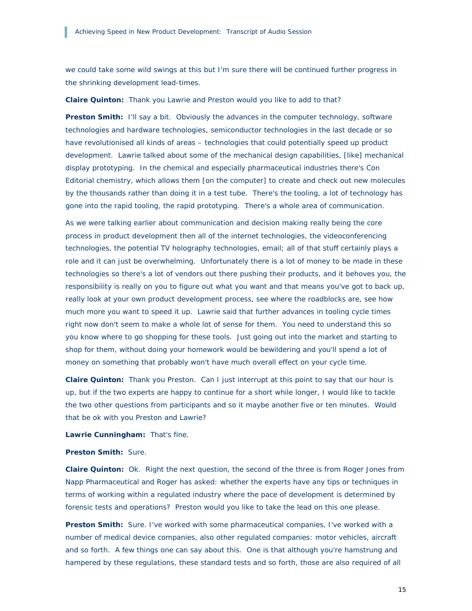we could take some wild swings at this but I'm sure there will be continued further progress in the shrinking development lead-times.

**Claire Quinton:** Thank you Lawrie and Preston would you like to add to that?

Preston Smith: I'll say a bit. Obviously the advances in the computer technology, software technologies and hardware technologies, semiconductor technologies in the last decade or so have revolutionised all kinds of areas – technologies that could potentially speed up product development. Lawrie talked about some of the mechanical design capabilities, [like] mechanical display prototyping. In the chemical and especially pharmaceutical industries there's Con Editorial chemistry, which allows them [on the computer] to create and check out new molecules by the thousands rather than doing it in a test tube. There's the tooling, a lot of technology has gone into the rapid tooling, the rapid prototyping. There's a whole area of communication.

As we were talking earlier about communication and decision making really being the core process in product development then all of the internet technologies, the videoconferencing technologies, the potential TV holography technologies, email; all of that stuff certainly plays a role and it can just be overwhelming. Unfortunately there is a lot of money to be made in these technologies so there's a lot of vendors out there pushing their products, and it behoves you, the responsibility is really on you to figure out what you want and that means you've got to back up, really look at your own product development process, see where the roadblocks are, see how much more you want to speed it up. Lawrie said that further advances in tooling cycle times right now don't seem to make a whole lot of sense for them. You need to understand this so you know where to go shopping for these tools. Just going out into the market and starting to shop for them, without doing your homework would be bewildering and you'll spend a lot of money on something that probably won't have much overall effect on your cycle time.

**Claire Quinton:** Thank you Preston. Can I just interrupt at this point to say that our hour is up, but if the two experts are happy to continue for a short while longer, I would like to tackle the two other questions from participants and so it maybe another five or ten minutes. Would that be ok with you Preston and Lawrie?

**Lawrie Cunningham:** That's fine.

**Preston Smith:** Sure.

**Claire Quinton:** Ok. Right the next question, the second of the three is from Roger Jones from Napp Pharmaceutical and Roger has asked: whether the experts have any tips or techniques in terms of working within a regulated industry where the pace of development is determined by forensic tests and operations? Preston would you like to take the lead on this one please.

**Preston Smith:** Sure. I've worked with some pharmaceutical companies, I've worked with a number of medical device companies, also other regulated companies: motor vehicles, aircraft and so forth. A few things one can say about this. One is that although you're hamstrung and hampered by these regulations, these standard tests and so forth, those are also required of all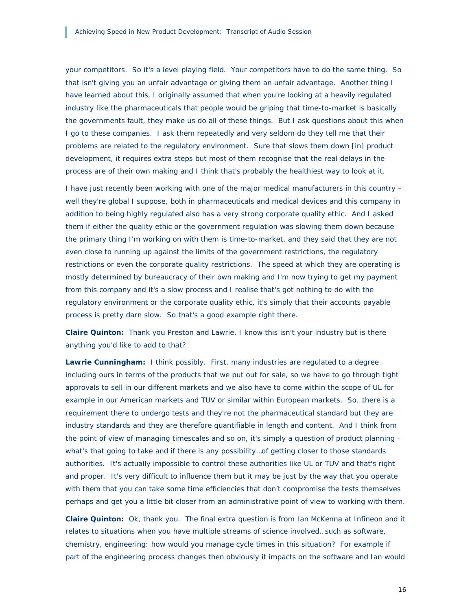your competitors. So it's a level playing field. Your competitors have to do the same thing. So that isn't giving you an unfair advantage or giving them an unfair advantage. Another thing I have learned about this, I originally assumed that when you're looking at a heavily regulated industry like the pharmaceuticals that people would be griping that time-to-market is basically the governments fault, they make us do all of these things. But I ask questions about this when I go to these companies. I ask them repeatedly and very seldom do they tell me that their problems are related to the regulatory environment. Sure that slows them down [in] product development, it requires extra steps but most of them recognise that the real delays in the process are of their own making and I think that's probably the healthiest way to look at it.

I have just recently been working with one of the major medical manufacturers in this country – well they're global I suppose, both in pharmaceuticals and medical devices and this company in addition to being highly regulated also has a very strong corporate quality ethic. And I asked them if either the quality ethic or the government regulation was slowing them down because the primary thing I'm working on with them is time-to-market, and they said that they are not even close to running up against the limits of the government restrictions, the regulatory restrictions or even the corporate quality restrictions. The speed at which they are operating is mostly determined by bureaucracy of their own making and I'm now trying to get my payment from this company and it's a slow process and I realise that's got nothing to do with the regulatory environment or the corporate quality ethic, it's simply that their accounts payable process is pretty darn slow. So that's a good example right there.

**Claire Quinton:** Thank you Preston and Lawrie, I know this isn't your industry but is there anything you'd like to add to that?

**Lawrie Cunningham:** I think possibly. First, many industries are regulated to a degree including ours in terms of the products that we put out for sale, so we have to go through tight approvals to sell in our different markets and we also have to come within the scope of UL for example in our American markets and TUV or similar within European markets. So…there is a requirement there to undergo tests and they're not the pharmaceutical standard but they are industry standards and they are therefore quantifiable in length and content. And I think from the point of view of managing timescales and so on, it's simply a question of product planning – what's that going to take and if there is any possibility…of getting closer to those standards authorities. It's actually impossible to control these authorities like UL or TUV and that's right and proper. It's very difficult to influence them but it may be just by the way that you operate with them that you can take some time efficiencies that don't compromise the tests themselves perhaps and get you a little bit closer from an administrative point of view to working with them.

**Claire Quinton:** Ok, thank you. The final extra question is from Ian McKenna at Infineon and it relates to situations when you have multiple streams of science involved…such as software, chemistry, engineering: how would you manage cycle times in this situation? For example if part of the engineering process changes then obviously it impacts on the software and Ian would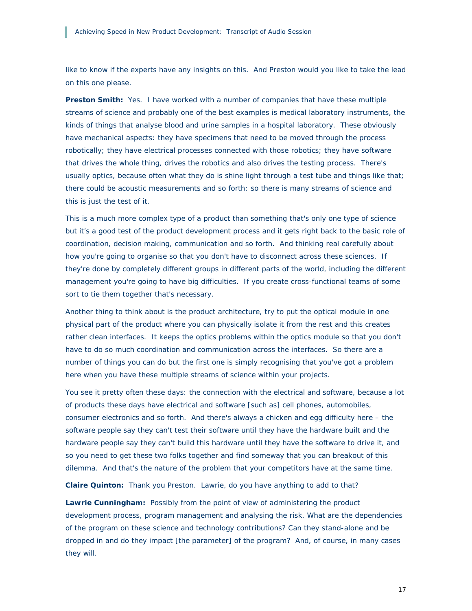like to know if the experts have any insights on this. And Preston would you like to take the lead on this one please.

**Preston Smith:** Yes. I have worked with a number of companies that have these multiple streams of science and probably one of the best examples is medical laboratory instruments, the kinds of things that analyse blood and urine samples in a hospital laboratory. These obviously have mechanical aspects: they have specimens that need to be moved through the process robotically; they have electrical processes connected with those robotics; they have software that drives the whole thing, drives the robotics and also drives the testing process. There's usually optics, because often what they do is shine light through a test tube and things like that; there could be acoustic measurements and so forth; so there is many streams of science and this is just the test of it.

This is a much more complex type of a product than something that's only one type of science but it's a good test of the product development process and it gets right back to the basic role of coordination, decision making, communication and so forth. And thinking real carefully about how you're going to organise so that you don't have to disconnect across these sciences. If they're done by completely different groups in different parts of the world, including the different management you're going to have big difficulties. If you create cross-functional teams of some sort to tie them together that's necessary.

Another thing to think about is the product architecture, try to put the optical module in one physical part of the product where you can physically isolate it from the rest and this creates rather clean interfaces. It keeps the optics problems within the optics module so that you don't have to do so much coordination and communication across the interfaces. So there are a number of things you can do but the first one is simply recognising that you've got a problem here when you have these multiple streams of science within your projects.

You see it pretty often these days: the connection with the electrical and software, because a lot of products these days have electrical *and* software [such as] cell phones, automobiles, consumer electronics and so forth. And there's always a chicken and egg difficulty here – the software people say they can't test their software until they have the hardware built and the hardware people say they can't build this hardware until they have the software to drive it, and so you need to get these two folks together and find someway that you can breakout of this dilemma. And that's the nature of the problem that your competitors have at the same time.

**Claire Quinton:** Thank you Preston. Lawrie, do you have anything to add to that?

**Lawrie Cunningham:** Possibly from the point of view of administering the product development process, program management and analysing the risk. What are the dependencies of the program on these science and technology contributions? Can they stand-alone and be dropped in and do they impact [the parameter] of the program? And, of course, in many cases they will.